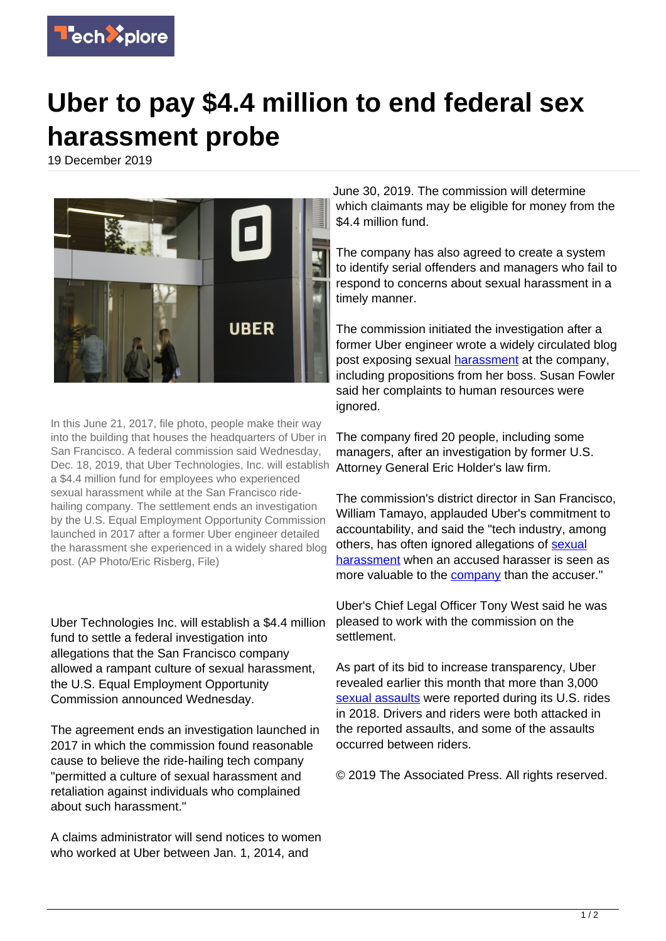

## **Uber to pay \$4.4 million to end federal sex harassment probe**

19 December 2019



In this June 21, 2017, file photo, people make their way into the building that houses the headquarters of Uber in San Francisco. A federal commission said Wednesday, Dec. 18, 2019, that Uber Technologies, Inc. will establish a \$4.4 million fund for employees who experienced sexual harassment while at the San Francisco ridehailing company. The settlement ends an investigation by the U.S. Equal Employment Opportunity Commission launched in 2017 after a former Uber engineer detailed the harassment she experienced in a widely shared blog post. (AP Photo/Eric Risberg, File)

Uber Technologies Inc. will establish a \$4.4 million fund to settle a federal investigation into allegations that the San Francisco company allowed a rampant culture of sexual harassment, the U.S. Equal Employment Opportunity Commission announced Wednesday.

The agreement ends an investigation launched in 2017 in which the commission found reasonable cause to believe the ride-hailing tech company "permitted a culture of sexual harassment and retaliation against individuals who complained about such harassment."

A claims administrator will send notices to women who worked at Uber between Jan. 1, 2014, and

June 30, 2019. The commission will determine which claimants may be eligible for money from the \$4.4 million fund.

The company has also agreed to create a system to identify serial offenders and managers who fail to respond to concerns about sexual harassment in a timely manner.

The commission initiated the investigation after a former Uber engineer wrote a widely circulated blog post exposing sexual [harassment](https://techxplore.com/tags/harassment/) at the company, including propositions from her boss. Susan Fowler said her complaints to human resources were ignored.

The company fired 20 people, including some managers, after an investigation by former U.S. Attorney General Eric Holder's law firm.

The commission's district director in San Francisco, William Tamayo, applauded Uber's commitment to accountability, and said the "tech industry, among others, has often ignored allegations of [sexual](https://techxplore.com/tags/sexual+harassment/) [harassment](https://techxplore.com/tags/sexual+harassment/) when an accused harasser is seen as more valuable to the [company](https://techxplore.com/tags/company/) than the accuser."

Uber's Chief Legal Officer Tony West said he was pleased to work with the commission on the settlement.

As part of its bid to increase transparency, Uber revealed earlier this month that more than 3,000 [sexual assaults](https://techxplore.com/tags/sexual+assaults/) were reported during its U.S. rides in 2018. Drivers and riders were both attacked in the reported assaults, and some of the assaults occurred between riders.

© 2019 The Associated Press. All rights reserved.